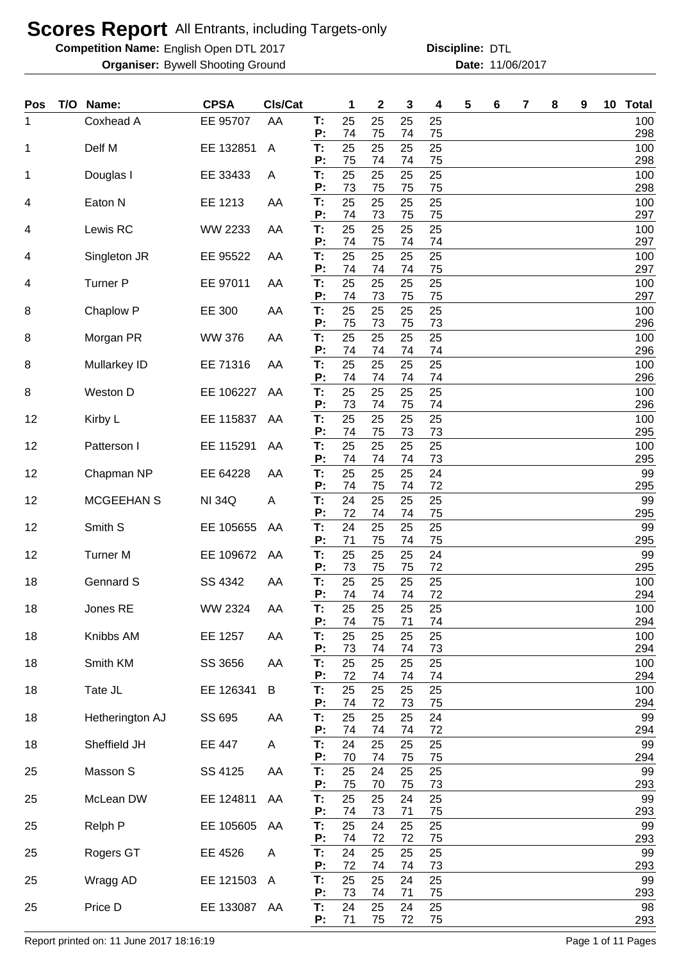**Competition Name:** English Open DTL 2017 **Discripline: DTL** 

**Organiser:** Bywell Shooting Ground **11/06/2017 Date:** 11/06/2017 **Discipline:**

| Pos | T/O Name:       | <b>CPSA</b>   | Cls/Cat |          | 1        | $\mathbf 2$ | 3        | 4        | 5 | 6 | 7 | 8 | 9 | 10 <sub>1</sub> | <b>Total</b> |
|-----|-----------------|---------------|---------|----------|----------|-------------|----------|----------|---|---|---|---|---|-----------------|--------------|
| 1   | Coxhead A       | EE 95707      | AA      | Т:<br>P: | 25<br>74 | 25<br>75    | 25<br>74 | 25<br>75 |   |   |   |   |   |                 | 100<br>298   |
| 1   | Delf M          | EE 132851     | A       | T:       | 25       | 25          | 25       | 25       |   |   |   |   |   |                 | 100          |
|     |                 |               |         | P:       | 75       | 74          | 74       | 75       |   |   |   |   |   |                 | 298          |
| 1   | Douglas I       | EE 33433      | Α       | T:<br>P: | 25<br>73 | 25<br>75    | 25<br>75 | 25<br>75 |   |   |   |   |   |                 | 100<br>298   |
| 4   | Eaton N         | EE 1213       | AA      | T:<br>P: | 25<br>74 | 25<br>73    | 25<br>75 | 25<br>75 |   |   |   |   |   |                 | 100<br>297   |
| 4   | Lewis RC        | WW 2233       | AA      | T:       | 25       | 25          | 25       | 25       |   |   |   |   |   |                 | 100          |
| 4   | Singleton JR    | EE 95522      | AA      | P:<br>T: | 74<br>25 | 75<br>25    | 74<br>25 | 74<br>25 |   |   |   |   |   |                 | 297<br>100   |
|     |                 |               |         | P:       | 74       | 74          | 74       | 75       |   |   |   |   |   |                 | 297          |
| 4   | <b>Turner P</b> | EE 97011      | AA      | T:<br>P: | 25<br>74 | 25<br>73    | 25<br>75 | 25<br>75 |   |   |   |   |   |                 | 100<br>297   |
| 8   | Chaplow P       | EE 300        | AA      | T:       | 25       | 25          | 25       | 25       |   |   |   |   |   |                 | 100          |
| 8   | Morgan PR       | <b>WW 376</b> | AA      | P:<br>T: | 75<br>25 | 73<br>25    | 75<br>25 | 73<br>25 |   |   |   |   |   |                 | 296<br>100   |
|     |                 |               |         | P:       | 74       | 74          | 74       | 74       |   |   |   |   |   |                 | 296          |
| 8   | Mullarkey ID    | EE 71316      | AA      | T:<br>P: | 25<br>74 | 25<br>74    | 25<br>74 | 25<br>74 |   |   |   |   |   |                 | 100<br>296   |
| 8   | Weston D        | EE 106227     | AA      | T:<br>P: | 25<br>73 | 25<br>74    | 25<br>75 | 25<br>74 |   |   |   |   |   |                 | 100<br>296   |
| 12  | Kirby L         | EE 115837     | AA      | T:       | 25       | 25          | 25       | 25       |   |   |   |   |   |                 | 100          |
| 12  | Patterson I     | EE 115291     | AA      | P:<br>T: | 74<br>25 | 75<br>25    | 73<br>25 | 73<br>25 |   |   |   |   |   |                 | 295<br>100   |
|     |                 |               |         | P:       | 74       | 74          | 74       | 73       |   |   |   |   |   |                 | 295          |
| 12  | Chapman NP      | EE 64228      | AA      | T:<br>P: | 25<br>74 | 25<br>75    | 25<br>74 | 24<br>72 |   |   |   |   |   |                 | 99<br>295    |
| 12  | MCGEEHAN S      | <b>NI 34Q</b> | A       | T:       | 24       | 25          | 25       | 25       |   |   |   |   |   |                 | 99           |
| 12  | Smith S         | EE 105655     | AA      | P:<br>T: | 72<br>24 | 74<br>25    | 74<br>25 | 75<br>25 |   |   |   |   |   |                 | 295<br>99    |
|     |                 |               |         | P:       | 71<br>25 | 75          | 74       | 75       |   |   |   |   |   |                 | 295<br>99    |
| 12  | <b>Turner M</b> | EE 109672     | AA      | T:<br>P: | 73       | 25<br>75    | 25<br>75 | 24<br>72 |   |   |   |   |   |                 | 295          |
| 18  | Gennard S       | SS 4342       | AA      | T:<br>P: | 25<br>74 | 25<br>74    | 25<br>74 | 25<br>72 |   |   |   |   |   |                 | 100<br>294   |
| 18  | Jones RE        | WW 2324       | AA      | Т:       | 25       | 25          | 25       | 25       |   |   |   |   |   |                 | 100          |
| 18  | Knibbs AM       | EE 1257       | AA      | P:<br>T: | 74<br>25 | 75<br>25    | 71<br>25 | 74<br>25 |   |   |   |   |   |                 | 294<br>100   |
|     |                 |               |         | P:       | 73       | 74          | 74       | 73       |   |   |   |   |   |                 | 294          |
| 18  | Smith KM        | SS 3656       | AA      | T:<br>P: | 25<br>72 | 25<br>74    | 25<br>74 | 25<br>74 |   |   |   |   |   |                 | 100<br>294   |
| 18  | Tate JL         | EE 126341     | B       | T:<br>P: | 25<br>74 | 25<br>72    | 25<br>73 | 25<br>75 |   |   |   |   |   |                 | 100<br>294   |
| 18  | Hetherington AJ | SS 695        | AA      | T:       | 25       | 25          | 25       | 24       |   |   |   |   |   |                 | 99           |
| 18  | Sheffield JH    | EE 447        | A       | P:<br>T: | 74<br>24 | 74<br>25    | 74<br>25 | 72<br>25 |   |   |   |   |   |                 | 294<br>99    |
|     |                 |               |         | P:       | 70       | 74          | 75       | 75       |   |   |   |   |   |                 | 294          |
| 25  | Masson S        | SS 4125       | AA      | T:<br>P: | 25<br>75 | 24<br>70    | 25<br>75 | 25<br>73 |   |   |   |   |   |                 | 99<br>293    |
| 25  | McLean DW       | EE 124811     | AA      | T:<br>P: | 25<br>74 | 25<br>73    | 24<br>71 | 25<br>75 |   |   |   |   |   |                 | 99<br>293    |
| 25  | Relph P         | EE 105605     | AA      | T:       | 25       | 24          | 25       | 25       |   |   |   |   |   |                 | 99           |
| 25  | Rogers GT       | EE 4526       | A       | P:<br>T: | 74<br>24 | 72<br>25    | 72<br>25 | 75<br>25 |   |   |   |   |   |                 | 293<br>99    |
|     |                 |               |         | P:       | 72       | 74          | 74       | 73       |   |   |   |   |   |                 | 293          |
| 25  | Wragg AD        | EE 121503     | A       | T:<br>P: | 25<br>73 | 25<br>74    | 24<br>71 | 25<br>75 |   |   |   |   |   |                 | 99<br>293    |
| 25  | Price D         | EE 133087 AA  |         | Т.       | 24       | 25          | 24       | 25       |   |   |   |   |   |                 | 98           |
|     |                 |               |         | P:       | 71       | 75          | 72       | 75       |   |   |   |   |   |                 | 293          |

Report printed on: 11 June 2017 18:16:19 Page 1 of 11 Pages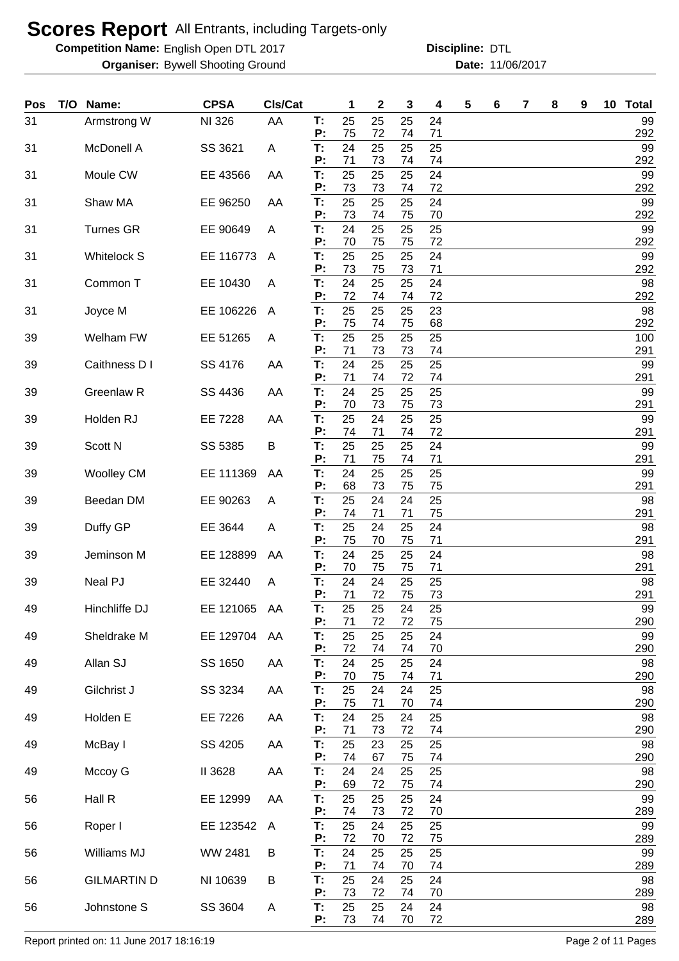**Competition Name:** English Open DTL 2017 **Discripline: DTL** 

**Organiser:** Bywell Shooting Ground **11/06/2017 Date:** 11/06/2017

**Discipline:**

| Pos | T/O Name:          | <b>CPSA</b> | CIs/Cat |          | 1        | $\mathbf{2}$ | 3        | 4        | 5 | 6 | 7 | 8 | 9 | 10 Total   |
|-----|--------------------|-------------|---------|----------|----------|--------------|----------|----------|---|---|---|---|---|------------|
| 31  | Armstrong W        | NI 326      | AA      | T:<br>P: | 25<br>75 | 25<br>72     | 25<br>74 | 24<br>71 |   |   |   |   |   | 99<br>292  |
| 31  | McDonell A         | SS 3621     | Α       | T:       | 24       | 25           | 25       | 25       |   |   |   |   |   | 99         |
| 31  | Moule CW           | EE 43566    | AA      | P:<br>T: | 71<br>25 | 73<br>25     | 74<br>25 | 74<br>24 |   |   |   |   |   | 292<br>99  |
| 31  | Shaw MA            | EE 96250    | AA      | P:<br>T: | 73<br>25 | 73<br>25     | 74<br>25 | 72<br>24 |   |   |   |   |   | 292<br>99  |
| 31  | <b>Turnes GR</b>   | EE 90649    | A       | P:<br>T: | 73<br>24 | 74<br>25     | 75<br>25 | 70<br>25 |   |   |   |   |   | 292<br>99  |
|     |                    |             |         | P:       | 70       | 75           | 75       | 72       |   |   |   |   |   | 292        |
| 31  | <b>Whitelock S</b> | EE 116773   | A       | Т:<br>P: | 25<br>73 | 25<br>75     | 25<br>73 | 24<br>71 |   |   |   |   |   | 99<br>292  |
| 31  | Common T           | EE 10430    | A       | T:<br>P: | 24<br>72 | 25<br>74     | 25<br>74 | 24<br>72 |   |   |   |   |   | 98<br>292  |
| 31  | Joyce M            | EE 106226   | A       | T:<br>Ρ. | 25       | 25<br>74     | 25<br>75 | 23       |   |   |   |   |   | 98         |
| 39  | Welham FW          | EE 51265    | A       | T:       | 75<br>25 | 25           | 25       | 68<br>25 |   |   |   |   |   | 292<br>100 |
| 39  | Caithness D I      | SS 4176     | AA      | Ρ.<br>T: | 71<br>24 | 73<br>25     | 73<br>25 | 74<br>25 |   |   |   |   |   | 291<br>99  |
| 39  | Greenlaw R         | SS 4436     | AA      | Ρ.<br>T: | 71<br>24 | 74<br>25     | 72<br>25 | 74<br>25 |   |   |   |   |   | 291<br>99  |
|     |                    |             |         | P:       | 70       | 73           | 75       | 73       |   |   |   |   |   | 291        |
| 39  | Holden RJ          | EE 7228     | AA      | T:<br>Ρ: | 25<br>74 | 24<br>71     | 25<br>74 | 25<br>72 |   |   |   |   |   | 99<br>291  |
| 39  | Scott N            | SS 5385     | B       | T:<br>P: | 25<br>71 | 25<br>75     | 25<br>74 | 24<br>71 |   |   |   |   |   | 99<br>291  |
| 39  | <b>Woolley CM</b>  | EE 111369   | AA      | T:<br>Ρ: | 24<br>68 | 25<br>73     | 25<br>75 | 25<br>75 |   |   |   |   |   | 99         |
| 39  | Beedan DM          | EE 90263    | A       | T:       | 25       | 24           | 24       | 25       |   |   |   |   |   | 291<br>98  |
| 39  | Duffy GP           | EE 3644     | A       | P:<br>T: | 74<br>25 | 71<br>24     | 71<br>25 | 75<br>24 |   |   |   |   |   | 291<br>98  |
| 39  | Jeminson M         | EE 128899   | AA      | P:<br>T: | 75<br>24 | 70<br>25     | 75<br>25 | 71<br>24 |   |   |   |   |   | 291<br>98  |
|     |                    |             |         | P:       | 70       | 75           | 75       | 71       |   |   |   |   |   | 291        |
| 39  | Neal PJ            | EE 32440    | A       | T:<br>Ρ. | 24<br>71 | 24<br>72     | 25<br>75 | 25<br>73 |   |   |   |   |   | 98<br>291  |
| 49  | Hinchliffe DJ      | EE 121065   | AA      | Т:<br>P: | 25<br>71 | 25<br>72     | 24<br>72 | 25<br>75 |   |   |   |   |   | 99<br>290  |
| 49  | Sheldrake M        | EE 129704   | AA      | T:<br>Ρ. | 25<br>72 | 25<br>74     | 25<br>74 | 24<br>70 |   |   |   |   |   | 99<br>290  |
| 49  | Allan SJ           | SS 1650     | AA      | T.       | 24       | 25           | 25       | 24       |   |   |   |   |   | 98         |
| 49  | Gilchrist J        | SS 3234     | AA      | Ρ.<br>T: | 70<br>25 | 75<br>24     | 74<br>24 | 71<br>25 |   |   |   |   |   | 290<br>98  |
| 49  | Holden E           | EE 7226     | AA      | P:<br>T. | 75<br>24 | 71<br>25     | 70<br>24 | 74<br>25 |   |   |   |   |   | 290<br>98  |
|     |                    |             |         | Ρ.       | 71       | 73           | 72       | 74       |   |   |   |   |   | 290        |
| 49  | McBay I            | SS 4205     | AA      | T.<br>Ρ. | 25<br>74 | 23<br>67     | 25<br>75 | 25<br>74 |   |   |   |   |   | 98<br>290  |
| 49  | Mccoy G            | II 3628     | AA      | T:<br>P: | 24<br>69 | 24<br>72     | 25<br>75 | 25<br>74 |   |   |   |   |   | 98<br>290  |
| 56  | Hall R             | EE 12999    | AA      | T:<br>Ρ. | 25<br>74 | 25<br>73     | 25<br>72 | 24<br>70 |   |   |   |   |   | 99<br>289  |
| 56  | Roper I            | EE 123542   | A       | T:       | 25       | 24           | 25       | 25       |   |   |   |   |   | 99         |
| 56  | Williams MJ        | WW 2481     | B       | P:<br>T: | 72<br>24 | 70<br>25     | 72<br>25 | 75<br>25 |   |   |   |   |   | 289<br>99  |
| 56  | <b>GILMARTIN D</b> | NI 10639    | B       | Ρ.<br>T: | 71<br>25 | 74<br>24     | 70<br>25 | 74<br>24 |   |   |   |   |   | 289<br>98  |
|     |                    |             |         | P:       | 73       | 72           | 74       | 70       |   |   |   |   |   | 289        |
| 56  | Johnstone S        | SS 3604     | A       | T:<br>P: | 25<br>73 | 25<br>74     | 24<br>70 | 24<br>72 |   |   |   |   |   | 98<br>289  |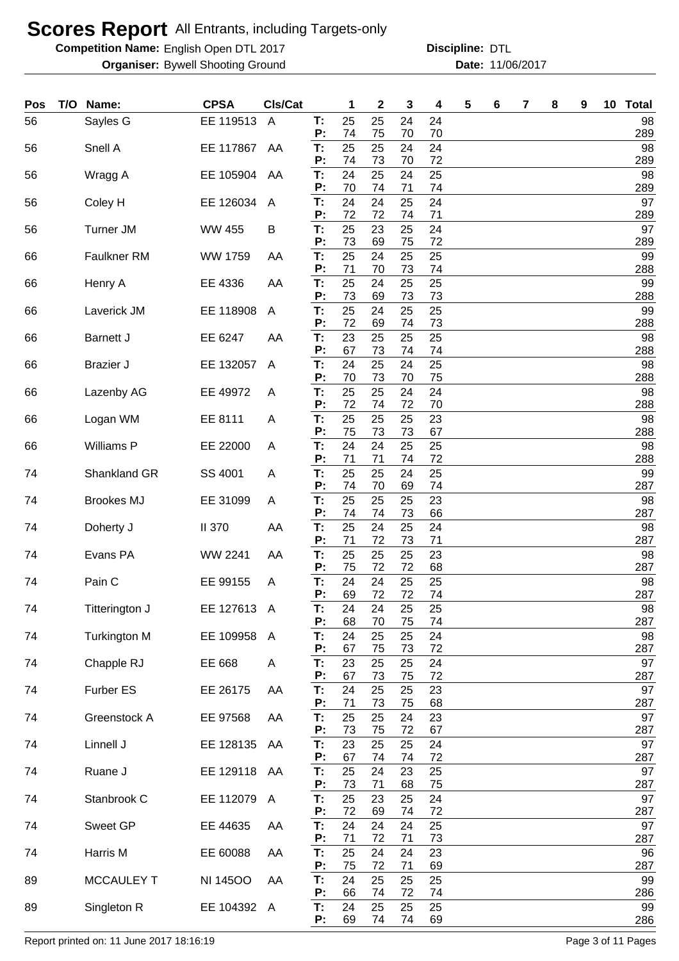**Competition Name:** English Open DTL 2017 **Discripline: DTL** 

**Organiser:** Bywell Shooting Ground **11/06/2017 Date:** 11/06/2017 **Discipline:**

| Pos | T/O | Name:               | <b>CPSA</b>     | CIs/Cat        |          | 1        | 2        | 3        | 4        | 5 | 6 | 7 | 8 | 9 | 10 | <b>Total</b> |
|-----|-----|---------------------|-----------------|----------------|----------|----------|----------|----------|----------|---|---|---|---|---|----|--------------|
| 56  |     | Sayles G            | EE 119513       | $\overline{A}$ | T:<br>P: | 25<br>74 | 25<br>75 | 24<br>70 | 24<br>70 |   |   |   |   |   |    | 98<br>289    |
| 56  |     | Snell A             | EE 117867       | AA             | T:<br>P: | 25<br>74 | 25<br>73 | 24<br>70 | 24<br>72 |   |   |   |   |   |    | 98<br>289    |
| 56  |     | Wragg A             | EE 105904       | AA             | T:       | 24       | 25       | 24       | 25       |   |   |   |   |   |    | 98           |
| 56  |     | Coley H             | EE 126034       | A              | P:<br>T: | 70<br>24 | 74<br>24 | 71<br>25 | 74<br>24 |   |   |   |   |   |    | 289<br>97    |
| 56  |     | <b>Turner JM</b>    | <b>WW 455</b>   | B              | P:<br>T: | 72<br>25 | 72<br>23 | 74<br>25 | 71<br>24 |   |   |   |   |   |    | 289<br>97    |
|     |     |                     |                 |                | Ρ.       | 73       | 69       | 75       | 72       |   |   |   |   |   |    | 289          |
| 66  |     | <b>Faulkner RM</b>  | WW 1759         | AA             | T:<br>Ρ. | 25<br>71 | 24<br>70 | 25<br>73 | 25<br>74 |   |   |   |   |   |    | 99<br>288    |
| 66  |     | Henry A             | EE 4336         | AA             | T:<br>P: | 25<br>73 | 24<br>69 | 25<br>73 | 25<br>73 |   |   |   |   |   |    | 99<br>288    |
| 66  |     | Laverick JM         | EE 118908       | A              | Т:<br>Ρ. | 25<br>72 | 24<br>69 | 25<br>74 | 25<br>73 |   |   |   |   |   |    | 99<br>288    |
| 66  |     | <b>Barnett J</b>    | EE 6247         | AA             | T:       | 23       | 25       | 25       | 25       |   |   |   |   |   |    | 98           |
| 66  |     | <b>Brazier J</b>    | EE 132057       | A              | Ρ.<br>T: | 67<br>24 | 73<br>25 | 74<br>24 | 74<br>25 |   |   |   |   |   |    | 288<br>98    |
| 66  |     | Lazenby AG          | EE 49972        | A              | P:<br>T: | 70<br>25 | 73<br>25 | 70<br>24 | 75<br>24 |   |   |   |   |   |    | 288<br>98    |
|     |     |                     |                 |                | Ρ.       | 72       | 74       | 72       | 70       |   |   |   |   |   |    | 288          |
| 66  |     | Logan WM            | EE 8111         | A              | T:<br>Ρ. | 25<br>75 | 25<br>73 | 25<br>73 | 23<br>67 |   |   |   |   |   |    | 98<br>288    |
| 66  |     | Williams P          | EE 22000        | A              | T:<br>Ρ. | 24<br>71 | 24<br>71 | 25<br>74 | 25<br>72 |   |   |   |   |   |    | 98<br>288    |
| 74  |     | Shankland GR        | SS 4001         | A              | T:       | 25       | 25       | 24       | 25       |   |   |   |   |   |    | 99           |
| 74  |     | <b>Brookes MJ</b>   | EE 31099        | A              | Ρ.<br>T: | 74<br>25 | 70<br>25 | 69<br>25 | 74<br>23 |   |   |   |   |   |    | 287<br>98    |
| 74  |     | Doherty J           | <b>II 370</b>   | AA             | P:<br>T: | 74<br>25 | 74<br>24 | 73<br>25 | 66<br>24 |   |   |   |   |   |    | 287<br>98    |
|     |     |                     |                 |                | P:       | 71       | 72       | 73       | 71       |   |   |   |   |   |    | 287          |
| 74  |     | Evans PA            | <b>WW 2241</b>  | AA             | T:<br>Р: | 25<br>75 | 25<br>72 | 25<br>72 | 23<br>68 |   |   |   |   |   |    | 98<br>287    |
| 74  |     | Pain C              | EE 99155        | A              | T:<br>Ρ. | 24<br>69 | 24<br>72 | 25<br>72 | 25<br>74 |   |   |   |   |   |    | 98<br>287    |
| 74  |     | Titterington J      | EE 127613 A     |                | Т:<br>P: | 24<br>68 | 24<br>70 | 25<br>75 | 25<br>74 |   |   |   |   |   |    | 98<br>287    |
| 74  |     | <b>Turkington M</b> | EE 109958       | A              | T:       | 24       | 25       | 25       | 24       |   |   |   |   |   |    | 98           |
| 74  |     | Chapple RJ          | EE 668          | A              | P:<br>Т: | 67<br>23 | 75<br>25 | 73<br>25 | 72<br>24 |   |   |   |   |   |    | 287<br>97    |
| 74  |     | Furber ES           | EE 26175        | AA             | P:<br>T: | 67<br>24 | 73<br>25 | 75<br>25 | 72<br>23 |   |   |   |   |   |    | 287<br>97    |
|     |     |                     |                 |                | P:       | 71       | 73       | 75       | 68       |   |   |   |   |   |    | 287          |
| 74  |     | Greenstock A        | EE 97568        | AA             | T:<br>P: | 25<br>73 | 25<br>75 | 24<br>72 | 23<br>67 |   |   |   |   |   |    | 97<br>287    |
| 74  |     | Linnell J           | EE 128135       | AA             | T.<br>P: | 23<br>67 | 25<br>74 | 25<br>74 | 24<br>72 |   |   |   |   |   |    | 97<br>287    |
| 74  |     | Ruane J             | EE 129118 AA    |                | T:       | 25       | 24       | 23       | 25       |   |   |   |   |   |    | 97           |
| 74  |     | Stanbrook C         | EE 112079       | A              | P:<br>T. | 73<br>25 | 71<br>23 | 68<br>25 | 75<br>24 |   |   |   |   |   |    | 287<br>97    |
| 74  |     | Sweet GP            | EE 44635        | AA             | P:<br>T. | 72<br>24 | 69<br>24 | 74<br>24 | 72<br>25 |   |   |   |   |   |    | 287<br>97    |
|     |     |                     |                 |                | Ρ:       | 71       | 72       | 71       | 73       |   |   |   |   |   |    | 287          |
| 74  |     | Harris M            | EE 60088        | AA             | T:<br>P: | 25<br>75 | 24<br>72 | 24<br>71 | 23<br>69 |   |   |   |   |   |    | 96<br>287    |
| 89  |     | <b>MCCAULEY T</b>   | <b>NI 14500</b> | AA             | T:<br>Ρ. | 24<br>66 | 25<br>74 | 25<br>72 | 25<br>74 |   |   |   |   |   |    | 99<br>286    |
| 89  |     | Singleton R         | EE 104392 A     |                | T:<br>P: | 24<br>69 | 25<br>74 | 25<br>74 | 25<br>69 |   |   |   |   |   |    | 99<br>286    |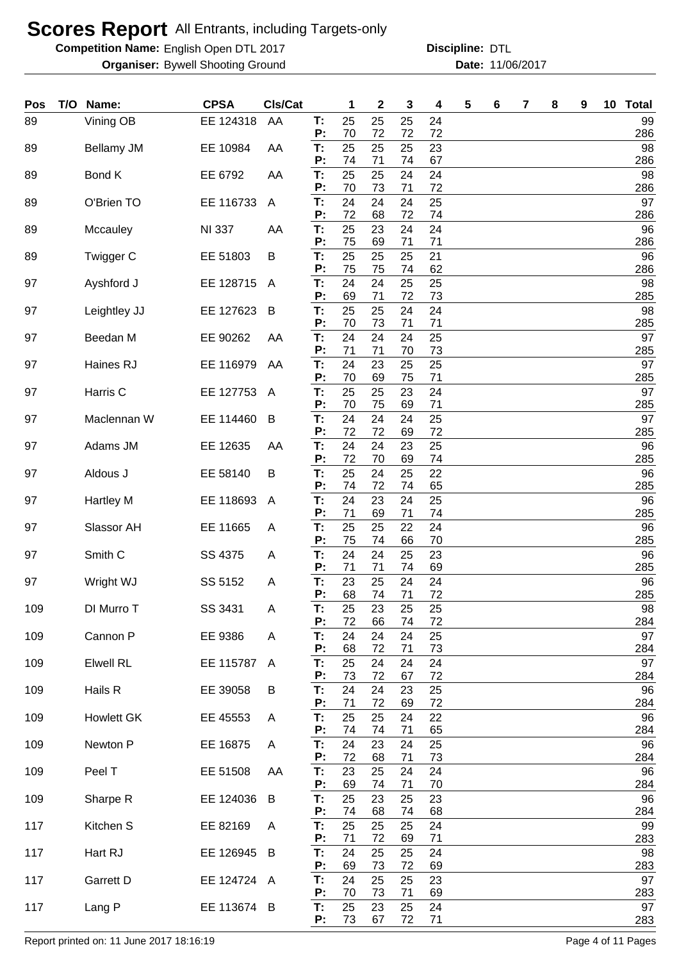**Competition Name:** English Open DTL 2017 **Discripline: DTL** 

**Organiser:** Bywell Shooting Ground **11/06/2017 Date:** 11/06/2017

**Discipline:**

| Pos | T/O | Name:              | <b>CPSA</b>   | CIs/Cat      |          | 1              | $\mathbf 2$ | 3              | 4        | 5 | 6 | 7 | 8 | 9 | 10 Total  |
|-----|-----|--------------------|---------------|--------------|----------|----------------|-------------|----------------|----------|---|---|---|---|---|-----------|
| 89  |     | Vining OB          | EE 124318     | AA           | T:<br>P: | 25<br>70       | 25<br>72    | 25<br>72       | 24<br>72 |   |   |   |   |   | 99<br>286 |
| 89  |     | Bellamy JM         | EE 10984      | AA           | Т:<br>P: | 25<br>74       | 25<br>71    | 25<br>74       | 23<br>67 |   |   |   |   |   | 98<br>286 |
| 89  |     | Bond K             | EE 6792       | AA           | T:<br>P: | 25<br>70       | 25<br>73    | 24<br>71       | 24<br>72 |   |   |   |   |   | 98<br>286 |
| 89  |     | O'Brien TO         | EE 116733     | A            | T:<br>P: | 24<br>72       | 24<br>68    | 24<br>72       | 25<br>74 |   |   |   |   |   | 97<br>286 |
| 89  |     | Mccauley           | <b>NI 337</b> | AA           | T:<br>P: | 25<br>75       | 23          | 24             | 24       |   |   |   |   |   | 96        |
| 89  |     | Twigger C          | EE 51803      | B            | T:<br>P: | 25             | 69<br>25    | 71<br>25       | 71<br>21 |   |   |   |   |   | 286<br>96 |
| 97  |     | Ayshford J         | EE 128715     | A            | T:<br>P: | 75<br>24<br>69 | 75<br>24    | 74<br>25<br>72 | 62<br>25 |   |   |   |   |   | 286<br>98 |
| 97  |     | Leightley JJ       | EE 127623     | B            | T:       | 25             | 71<br>25    | 24             | 73<br>24 |   |   |   |   |   | 285<br>98 |
| 97  |     | Beedan M           | EE 90262      | AA           | P:<br>T: | 70<br>24       | 73<br>24    | 71<br>24       | 71<br>25 |   |   |   |   |   | 285<br>97 |
| 97  |     | Haines RJ          | EE 116979     | AA           | P:<br>T: | 71<br>24       | 71<br>23    | 70<br>25       | 73<br>25 |   |   |   |   |   | 285<br>97 |
| 97  |     | Harris C           | EE 127753     | $\mathsf{A}$ | P:<br>T: | 70<br>25       | 69<br>25    | 75<br>23       | 71<br>24 |   |   |   |   |   | 285<br>97 |
| 97  |     | Maclennan W        | EE 114460     | B            | P:<br>T: | 70<br>24       | 75<br>24    | 69<br>24       | 71<br>25 |   |   |   |   |   | 285<br>97 |
| 97  |     | Adams JM           | EE 12635      | AA           | P:<br>T: | 72<br>24       | 72<br>24    | 69<br>23       | 72<br>25 |   |   |   |   |   | 285<br>96 |
| 97  |     | Aldous J           | EE 58140      | B            | P:<br>T: | 72<br>25       | 70<br>24    | 69<br>25       | 74<br>22 |   |   |   |   |   | 285<br>96 |
| 97  |     | Hartley M          | EE 118693     | $\mathsf{A}$ | P:<br>T: | 74<br>24       | 72<br>23    | 74<br>24       | 65<br>25 |   |   |   |   |   | 285<br>96 |
| 97  |     | Slassor AH         | EE 11665      | A            | P:<br>T: | 71<br>25       | 69<br>25    | 71<br>22       | 74<br>24 |   |   |   |   |   | 285<br>96 |
| 97  |     | Smith <sub>C</sub> | SS 4375       | A            | P:<br>T: | 75<br>24       | 74<br>24    | 66<br>25       | 70<br>23 |   |   |   |   |   | 285<br>96 |
|     |     |                    |               |              | P:       | 71             | 71          | 74             | 69       |   |   |   |   |   | 285       |
| 97  |     | Wright WJ          | SS 5152       | A            | Τ.<br>P: | 23<br>68       | 25<br>74    | 24<br>71       | 24<br>72 |   |   |   |   |   | 96<br>285 |
| 109 |     | DI Murro T         | SS 3431       | A            | T:<br>P: | 25<br>72       | 23<br>66    | 25<br>74       | 25<br>72 |   |   |   |   |   | 98<br>284 |
| 109 |     | Cannon P           | EE 9386       | A            | T:<br>P: | 24<br>68       | 24<br>72    | 24<br>71       | 25<br>73 |   |   |   |   |   | 97<br>284 |
| 109 |     | <b>Elwell RL</b>   | EE 115787     | $\mathsf{A}$ | T:<br>P: | 25<br>73       | 24<br>72    | 24<br>67       | 24<br>72 |   |   |   |   |   | 97<br>284 |
| 109 |     | Hails R            | EE 39058      | B            | T:<br>P: | 24<br>71       | 24<br>72    | 23<br>69       | 25<br>72 |   |   |   |   |   | 96<br>284 |
| 109 |     | <b>Howlett GK</b>  | EE 45553      | A            | T:<br>P: | 25<br>74       | 25<br>74    | 24<br>71       | 22<br>65 |   |   |   |   |   | 96<br>284 |
| 109 |     | Newton P           | EE 16875      | A            | T:<br>P: | 24<br>72       | 23<br>68    | 24<br>71       | 25<br>73 |   |   |   |   |   | 96<br>284 |
| 109 |     | Peel T             | EE 51508      | AA           | T:<br>P: | 23<br>69       | 25<br>74    | 24<br>71       | 24<br>70 |   |   |   |   |   | 96<br>284 |
| 109 |     | Sharpe R           | EE 124036     | B            | Τ.<br>P: | 25<br>74       | 23<br>68    | 25<br>74       | 23<br>68 |   |   |   |   |   | 96<br>284 |
| 117 |     | Kitchen S          | EE 82169      | A            | T:<br>P: | 25<br>71       | 25<br>72    | 25<br>69       | 24<br>71 |   |   |   |   |   | 99<br>283 |
| 117 |     | Hart RJ            | EE 126945     | B            | T:       | 24<br>69       | 25<br>73    | 25<br>72       | 24       |   |   |   |   |   | 98<br>283 |
| 117 |     | Garrett D          | EE 124724     | A            | P:<br>Т. | 24             | 25          | 25             | 69<br>23 |   |   |   |   |   | 97        |
| 117 |     | Lang P             | EE 113674 B   |              | P:<br>T. | 70<br>25       | 73<br>23    | 71<br>25       | 69<br>24 |   |   |   |   |   | 283<br>97 |
|     |     |                    |               |              | P:       | 73             | 67          | 72             | 71       |   |   |   |   |   | 283       |

Report printed on: 11 June 2017 18:16:19 **Page 4 of 11 Pages**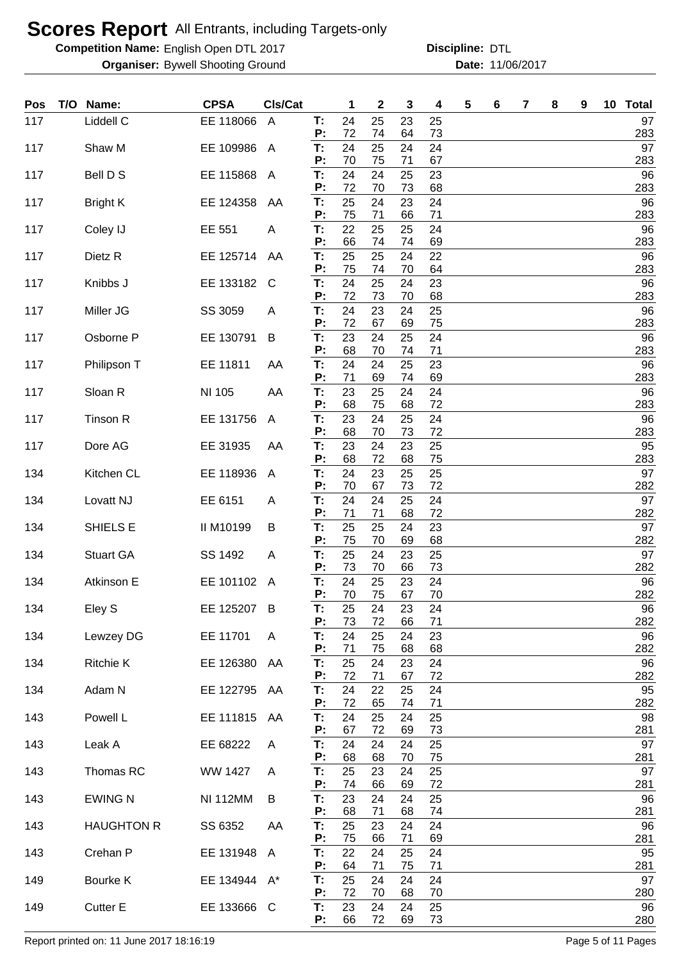**Competition Name:** English Open DTL 2017 **Discripline: DTL** 

**Organiser:** Bywell Shooting Ground **11/06/2017 Date:** 11/06/2017

**Discipline:**

| Pos | T/O | Name:              | <b>CPSA</b>     | CIs/Cat        |          | 1        | $\boldsymbol{2}$ | 3        | 4        | 5 | 6 | 7 | 8 | 9 | 10 Total  |
|-----|-----|--------------------|-----------------|----------------|----------|----------|------------------|----------|----------|---|---|---|---|---|-----------|
| 117 |     | Liddell C          | EE 118066       | $\overline{A}$ | T.<br>P: | 24<br>72 | 25<br>74         | 23<br>64 | 25<br>73 |   |   |   |   |   | 97<br>283 |
| 117 |     | Shaw M             | EE 109986       | $\mathsf{A}$   | T:       | 24       | 25               | 24       | 24       |   |   |   |   |   | 97        |
| 117 |     | Bell D S           | EE 115868       | $\mathsf{A}$   | P:<br>T: | 70<br>24 | 75<br>24         | 71<br>25 | 67<br>23 |   |   |   |   |   | 283<br>96 |
| 117 |     | <b>Bright K</b>    | EE 124358       | AA             | P:<br>T: | 72<br>25 | 70<br>24         | 73<br>23 | 68<br>24 |   |   |   |   |   | 283<br>96 |
|     |     |                    |                 |                | P:       | 75       | 71               | 66       | 71       |   |   |   |   |   | 283       |
| 117 |     | Coley IJ           | EE 551          | A              | T:<br>P: | 22<br>66 | 25<br>74         | 25<br>74 | 24<br>69 |   |   |   |   |   | 96<br>283 |
| 117 |     | Dietz <sub>R</sub> | EE 125714       | AA             | T:<br>P: | 25<br>75 | 25<br>74         | 24<br>70 | 22<br>64 |   |   |   |   |   | 96<br>283 |
| 117 |     | Knibbs J           | EE 133182       | C              | T:<br>P: | 24<br>72 | 25<br>73         | 24<br>70 | 23<br>68 |   |   |   |   |   | 96<br>283 |
| 117 |     | Miller JG          | SS 3059         | A              | T:       | 24       | 23               | 24       | 25       |   |   |   |   |   | 96        |
| 117 |     | Osborne P          | EE 130791       | B              | P:<br>T: | 72<br>23 | 67<br>24         | 69<br>25 | 75<br>24 |   |   |   |   |   | 283<br>96 |
| 117 |     | Philipson T        | EE 11811        | AA             | P:<br>T: | 68<br>24 | 70<br>24         | 74<br>25 | 71<br>23 |   |   |   |   |   | 283<br>96 |
| 117 |     | Sloan R            | NI 105          | AA             | P:<br>T: | 71<br>23 | 69<br>25         | 74<br>24 | 69<br>24 |   |   |   |   |   | 283<br>96 |
|     |     |                    |                 |                | P:       | 68       | 75               | 68       | 72       |   |   |   |   |   | 283       |
| 117 |     | Tinson R           | EE 131756       | A              | T:<br>P: | 23<br>68 | 24<br>70         | 25<br>73 | 24<br>72 |   |   |   |   |   | 96<br>283 |
| 117 |     | Dore AG            | EE 31935        | AA             | T:<br>P: | 23<br>68 | 24<br>72         | 23<br>68 | 25<br>75 |   |   |   |   |   | 95<br>283 |
| 134 |     | Kitchen CL         | EE 118936       | A              | T:<br>P: | 24<br>70 | 23<br>67         | 25<br>73 | 25<br>72 |   |   |   |   |   | 97<br>282 |
| 134 |     | Lovatt NJ          | EE 6151         | Α              | T:       | 24       | 24               | 25       | 24       |   |   |   |   |   | 97        |
| 134 |     | SHIELS E           | II M10199       | B              | P:<br>T: | 71<br>25 | 71<br>25         | 68<br>24 | 72<br>23 |   |   |   |   |   | 282<br>97 |
| 134 |     | <b>Stuart GA</b>   | SS 1492         | A              | P:<br>T: | 75<br>25 | 70<br>24         | 69<br>23 | 68<br>25 |   |   |   |   |   | 282<br>97 |
| 134 |     | Atkinson E         | EE 101102       | A              | P:<br>T: | 73<br>24 | 70<br>25         | 66<br>23 | 73<br>24 |   |   |   |   |   | 282<br>96 |
|     |     |                    |                 |                | P:       | 70       | 75               | 67       | 70       |   |   |   |   |   | 282       |
| 134 |     | Eley S             | EE 125207       | B              | Т.<br>P: | 25<br>73 | 24<br>72         | 23<br>66 | 24<br>71 |   |   |   |   |   | 96<br>282 |
| 134 |     | Lewzey DG          | EE 11701        | A              | T.<br>P: | 24<br>71 | 25<br>75         | 24<br>68 | 23<br>68 |   |   |   |   |   | 96<br>282 |
| 134 |     | <b>Ritchie K</b>   | EE 126380       | AA             | T:<br>P: | 25<br>72 | 24<br>71         | 23<br>67 | 24<br>72 |   |   |   |   |   | 96<br>282 |
| 134 |     | Adam N             | EE 122795 AA    |                | T.       | 24       | 22               | 25       | 24       |   |   |   |   |   | 95        |
| 143 |     | Powell L           | EE 111815       | AA             | P:<br>T: | 72<br>24 | 65<br>25         | 74<br>24 | 71<br>25 |   |   |   |   |   | 282<br>98 |
| 143 |     | Leak A             | EE 68222        |                | P:<br>T: | 67<br>24 | 72<br>24         | 69<br>24 | 73<br>25 |   |   |   |   |   | 281<br>97 |
|     |     |                    |                 | A              | P:       | 68       | 68               | 70       | 75       |   |   |   |   |   | 281       |
| 143 |     | Thomas RC          | WW 1427         | A              | T:<br>P: | 25<br>74 | 23<br>66         | 24<br>69 | 25<br>72 |   |   |   |   |   | 97<br>281 |
| 143 |     | <b>EWING N</b>     | <b>NI 112MM</b> | B              | T:<br>P: | 23<br>68 | 24<br>71         | 24<br>68 | 25<br>74 |   |   |   |   |   | 96<br>281 |
| 143 |     | <b>HAUGHTON R</b>  | SS 6352         | AA             | T:       | 25<br>75 | 23               | 24       | 24       |   |   |   |   |   | 96        |
| 143 |     | Crehan P           | EE 131948       | $\mathsf{A}$   | P:<br>Т. | 22       | 66<br>24         | 71<br>25 | 69<br>24 |   |   |   |   |   | 281<br>95 |
| 149 |     | Bourke K           | EE 134944 A*    |                | P:<br>T: | 64<br>25 | 71<br>24         | 75<br>24 | 71<br>24 |   |   |   |   |   | 281<br>97 |
| 149 |     | <b>Cutter E</b>    | EE 133666 C     |                | Ρ.<br>Т: | 72<br>23 | 70<br>24         | 68<br>24 | 70<br>25 |   |   |   |   |   | 280<br>96 |
|     |     |                    |                 |                | P:       | 66       | 72               | 69       | 73       |   |   |   |   |   | 280       |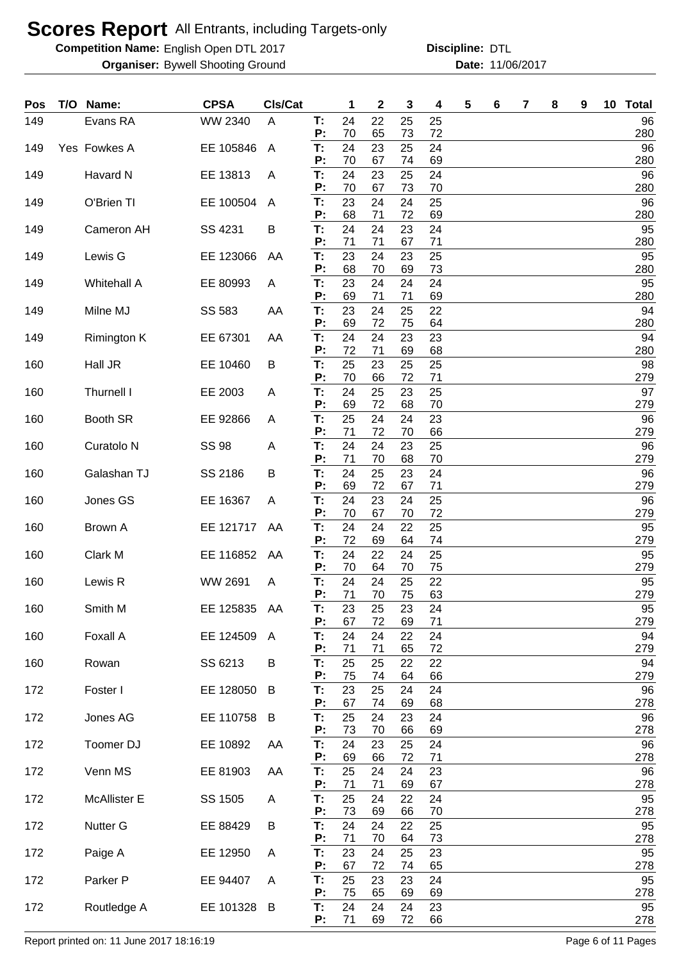**Competition Name:** English Open DTL 2017 **Discripline: DTL** 

**Organiser:** Bywell Shooting Ground **11/06/2017 Date:** 11/06/2017

**Discipline:**

| Pos | T/O | Name:                 | <b>CPSA</b>  | Cls/Cat        |          | 1        | 2        | 3        | 4        | 5 | 6 | 7 | 8 | 9 | 10 | <b>Total</b> |
|-----|-----|-----------------------|--------------|----------------|----------|----------|----------|----------|----------|---|---|---|---|---|----|--------------|
| 149 |     | Evans RA              | WW 2340      | A              | T:<br>P: | 24<br>70 | 22<br>65 | 25<br>73 | 25<br>72 |   |   |   |   |   |    | 96<br>280    |
| 149 |     | Yes Fowkes A          | EE 105846    | $\mathsf{A}$   | T:       | 24       | 23       | 25       | 24       |   |   |   |   |   |    | 96           |
| 149 |     | Havard N              | EE 13813     | A              | P:<br>Т: | 70<br>24 | 67<br>23 | 74<br>25 | 69<br>24 |   |   |   |   |   |    | 280<br>96    |
| 149 |     | O'Brien TI            | EE 100504    | A              | P:<br>Т: | 70<br>23 | 67<br>24 | 73<br>24 | 70<br>25 |   |   |   |   |   |    | 280<br>96    |
|     |     |                       |              |                | P:       | 68       | 71       | 72       | 69       |   |   |   |   |   |    | 280          |
| 149 |     | Cameron AH            | SS 4231      | B              | T:<br>P: | 24<br>71 | 24<br>71 | 23<br>67 | 24<br>71 |   |   |   |   |   |    | 95<br>280    |
| 149 |     | Lewis G               | EE 123066    | AA             | T:<br>P: | 23<br>68 | 24<br>70 | 23<br>69 | 25<br>73 |   |   |   |   |   |    | 95<br>280    |
| 149 |     | Whitehall A           | EE 80993     | A              | T:       | 23       | 24       | 24       | 24       |   |   |   |   |   |    | 95           |
| 149 |     | Milne MJ              | SS 583       | AA             | P:<br>T: | 69<br>23 | 71<br>24 | 71<br>25 | 69<br>22 |   |   |   |   |   |    | 280<br>94    |
| 149 |     | Rimington K           | EE 67301     | AA             | P:<br>T: | 69<br>24 | 72<br>24 | 75<br>23 | 64<br>23 |   |   |   |   |   |    | 280<br>94    |
|     |     |                       |              |                | P:       | 72       | 71       | 69       | 68       |   |   |   |   |   |    | 280          |
| 160 |     | Hall JR               | EE 10460     | B              | T:<br>P: | 25<br>70 | 23<br>66 | 25<br>72 | 25<br>71 |   |   |   |   |   |    | 98<br>279    |
| 160 |     | Thurnell I            | EE 2003      | A              | T:<br>P: | 24<br>69 | 25<br>72 | 23<br>68 | 25<br>70 |   |   |   |   |   |    | 97<br>279    |
| 160 |     | Booth SR              | EE 92866     | A              | T:       | 25       | 24       | 24       | 23       |   |   |   |   |   |    | 96           |
| 160 |     | Curatolo <sub>N</sub> | <b>SS 98</b> | Α              | P:<br>T: | 71<br>24 | 72<br>24 | 70<br>23 | 66<br>25 |   |   |   |   |   |    | 279<br>96    |
| 160 |     | Galashan TJ           | SS 2186      | В              | P:<br>T: | 71<br>24 | 70<br>25 | 68<br>23 | 70<br>24 |   |   |   |   |   |    | 279<br>96    |
|     |     |                       |              |                | P:       | 69       | 72       | 67       | 71       |   |   |   |   |   |    | 279          |
| 160 |     | Jones GS              | EE 16367     | A              | T:<br>P: | 24<br>70 | 23<br>67 | 24<br>70 | 25<br>72 |   |   |   |   |   |    | 96<br>279    |
| 160 |     | Brown A               | EE 121717    | AA             | T:<br>Р: | 24<br>72 | 24<br>69 | 22<br>64 | 25<br>74 |   |   |   |   |   |    | 95<br>279    |
| 160 |     | Clark M               | EE 116852    | AA             | T:       | 24       | 22       | 24       | 25       |   |   |   |   |   |    | 95           |
| 160 |     | Lewis R               | WW 2691      | A              | P:<br>T: | 70<br>24 | 64<br>24 | 70<br>25 | 75<br>22 |   |   |   |   |   |    | 279<br>95    |
|     |     |                       |              |                | P:       | 71       | 70       | 75       | 63       |   |   |   |   |   |    | 279          |
| 160 |     | Smith M               | EE 125835    | AA             | Т:<br>P: | 23<br>67 | 25<br>72 | 23<br>69 | 24<br>71 |   |   |   |   |   |    | 95<br>279    |
| 160 |     | Foxall A              | EE 124509    | $\overline{A}$ | T.<br>P: | 24<br>71 | 24<br>71 | 22<br>65 | 24<br>72 |   |   |   |   |   |    | 94<br>279    |
| 160 |     | Rowan                 | SS 6213      | B              | T:<br>P: | 25<br>75 | 25<br>74 | 22<br>64 | 22<br>66 |   |   |   |   |   |    | 94<br>279    |
| 172 |     | Foster I              | EE 128050    | B              | T:       | 23       | 25       | 24       | 24       |   |   |   |   |   |    | 96           |
| 172 |     | Jones AG              | EE 110758    | B              | P:<br>T: | 67<br>25 | 74<br>24 | 69<br>23 | 68<br>24 |   |   |   |   |   |    | 278<br>96    |
|     |     |                       |              |                | P:       | 73       | 70       | 66       | 69       |   |   |   |   |   |    | 278          |
| 172 |     | Toomer DJ             | EE 10892     | AA             | T:<br>P: | 24<br>69 | 23<br>66 | 25<br>72 | 24<br>71 |   |   |   |   |   |    | 96<br>278    |
| 172 |     | Venn MS               | EE 81903     | AA             | T:<br>P: | 25<br>71 | 24<br>71 | 24<br>69 | 23<br>67 |   |   |   |   |   |    | 96<br>278    |
| 172 |     | <b>McAllister E</b>   | SS 1505      | A              | T:<br>P: | 25<br>73 | 24<br>69 | 22       | 24       |   |   |   |   |   |    | 95<br>278    |
| 172 |     | Nutter G              | EE 88429     | B              | T:       | 24       | 24       | 66<br>22 | 70<br>25 |   |   |   |   |   |    | 95           |
| 172 |     | Paige A               | EE 12950     | Α              | P:<br>T: | 71<br>23 | 70<br>24 | 64<br>25 | 73<br>23 |   |   |   |   |   |    | 278<br>95    |
|     |     |                       |              |                | P:       | 67       | 72       | 74       | 65       |   |   |   |   |   |    | 278          |
| 172 |     | Parker P              | EE 94407     | A              | T:<br>P: | 25<br>75 | 23<br>65 | 23<br>69 | 24<br>69 |   |   |   |   |   |    | 95<br>278    |
| 172 |     | Routledge A           | EE 101328    | B              | T:<br>P: | 24<br>71 | 24<br>69 | 24<br>72 | 23<br>66 |   |   |   |   |   |    | 95<br>278    |

Report printed on: 11 June 2017 18:16:19 **Page 6 of 11 Pages**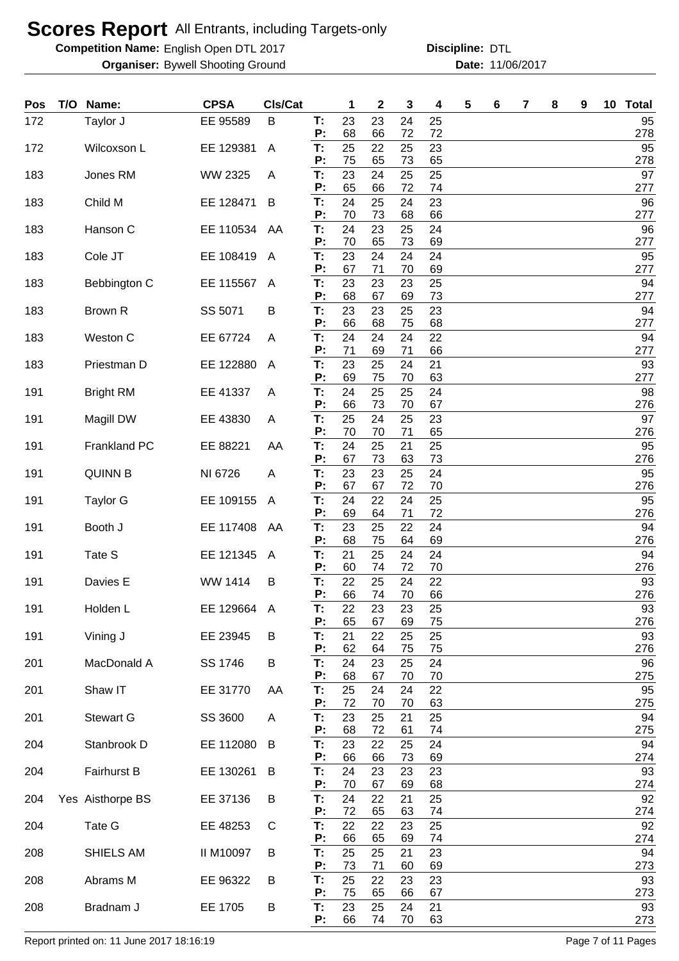**Competition Name:** English Open DTL 2017 **Discripline: DTL** 

**Organiser:** Bywell Shooting Ground **11/06/2017 Date:** 11/06/2017

**Discipline:**

| Pos | T/O | Name:            | <b>CPSA</b> | CIs/Cat        |          | 1        | $\mathbf 2$ | 3        | 4        | 5 | 6 | 7 | 8 | 9 | 10 Total  |
|-----|-----|------------------|-------------|----------------|----------|----------|-------------|----------|----------|---|---|---|---|---|-----------|
| 172 |     | Taylor J         | EE 95589    | B              | T:<br>P: | 23<br>68 | 23<br>66    | 24<br>72 | 25<br>72 |   |   |   |   |   | 95<br>278 |
| 172 |     | Wilcoxson L      | EE 129381   | A              | Т:<br>P: | 25<br>75 | 22<br>65    | 25<br>73 | 23<br>65 |   |   |   |   |   | 95<br>278 |
| 183 |     | Jones RM         | WW 2325     | A              | T:<br>P: | 23<br>65 | 24<br>66    | 25<br>72 | 25<br>74 |   |   |   |   |   | 97<br>277 |
| 183 |     | Child M          | EE 128471   | B              | T:<br>P: | 24<br>70 | 25<br>73    | 24       | 23       |   |   |   |   |   | 96        |
| 183 |     | Hanson C         | EE 110534   | AA             | T:       | 24       | 23          | 68<br>25 | 66<br>24 |   |   |   |   |   | 277<br>96 |
| 183 |     | Cole JT          | EE 108419   | A              | P:<br>T: | 70<br>23 | 65<br>24    | 73<br>24 | 69<br>24 |   |   |   |   |   | 277<br>95 |
| 183 |     | Bebbington C     | EE 115567   | A              | P:<br>T: | 67<br>23 | 71<br>23    | 70<br>23 | 69<br>25 |   |   |   |   |   | 277<br>94 |
| 183 |     | Brown R          | SS 5071     | В              | Р:<br>T: | 68<br>23 | 67<br>23    | 69<br>25 | 73<br>23 |   |   |   |   |   | 277<br>94 |
| 183 |     | Weston C         | EE 67724    | A              | P:<br>T: | 66<br>24 | 68<br>24    | 75<br>24 | 68<br>22 |   |   |   |   |   | 277<br>94 |
| 183 |     | Priestman D      | EE 122880   | A              | P:<br>T: | 71<br>23 | 69<br>25    | 71<br>24 | 66<br>21 |   |   |   |   |   | 277<br>93 |
| 191 |     | <b>Bright RM</b> | EE 41337    | A              | Р:<br>T: | 69<br>24 | 75<br>25    | 70<br>25 | 63<br>24 |   |   |   |   |   | 277<br>98 |
| 191 |     | Magill DW        | EE 43830    | A              | P:<br>T: | 66<br>25 | 73<br>24    | 70<br>25 | 67<br>23 |   |   |   |   |   | 276<br>97 |
| 191 |     | Frankland PC     | EE 88221    | AA             | P:<br>T: | 70<br>24 | 70<br>25    | 71<br>21 | 65<br>25 |   |   |   |   |   | 276<br>95 |
| 191 |     | <b>QUINN B</b>   | NI 6726     | A              | P:<br>T: | 67<br>23 | 73<br>23    | 63<br>25 | 73<br>24 |   |   |   |   |   | 276<br>95 |
| 191 |     | <b>Taylor G</b>  | EE 109155   | A              | P:<br>T: | 67<br>24 | 67<br>22    | 72<br>24 | 70<br>25 |   |   |   |   |   | 276<br>95 |
| 191 |     | Booth J          | EE 117408   | AA             | P:<br>T: | 69<br>23 | 64<br>25    | 71<br>22 | 72<br>24 |   |   |   |   |   | 276<br>94 |
| 191 |     | Tate S           | EE 121345   | $\overline{A}$ | P:<br>T: | 68<br>21 | 75<br>25    | 64<br>24 | 69<br>24 |   |   |   |   |   | 276<br>94 |
| 191 |     | Davies E         | WW 1414     | B              | P:<br>Τ. | 60<br>22 | 74<br>25    | 72<br>24 | 70<br>22 |   |   |   |   |   | 276<br>93 |
| 191 |     | Holden L         | EE 129664   | A              | P:<br>T: | 66<br>22 | 74<br>23    | 70<br>23 | 66<br>25 |   |   |   |   |   | 276<br>93 |
| 191 |     | Vining J         | EE 23945    | B              | P:<br>T: | 65<br>21 | 67<br>22    | 69<br>25 | 75<br>25 |   |   |   |   |   | 276<br>93 |
| 201 |     | MacDonald A      | SS 1746     | B              | P:<br>T: | 62<br>24 | 64<br>23    | 75<br>25 | 75<br>24 |   |   |   |   |   | 276<br>96 |
|     |     |                  |             |                | P:       | 68       | 67          | 70       | 70       |   |   |   |   |   | 275       |
| 201 |     | Shaw IT          | EE 31770    | AA             | T:<br>P: | 25<br>72 | 24<br>70    | 24<br>70 | 22<br>63 |   |   |   |   |   | 95<br>275 |
| 201 |     | <b>Stewart G</b> | SS 3600     | A              | T:<br>P: | 23<br>68 | 25<br>72    | 21<br>61 | 25<br>74 |   |   |   |   |   | 94<br>275 |
| 204 |     | Stanbrook D      | EE 112080   | B              | T:       | 23       | 22          | 25       | 24       |   |   |   |   |   | 94        |
| 204 |     | Fairhurst B      | EE 130261   | B              | P:<br>T: | 66<br>24 | 66<br>23    | 73<br>23 | 69<br>23 |   |   |   |   |   | 274<br>93 |
| 204 |     | Yes Aisthorpe BS | EE 37136    | B              | P:<br>Τ. | 70<br>24 | 67<br>22    | 69<br>21 | 68<br>25 |   |   |   |   |   | 274<br>92 |
| 204 |     | Tate G           | EE 48253    | C              | P:<br>T: | 72<br>22 | 65<br>22    | 63<br>23 | 74<br>25 |   |   |   |   |   | 274<br>92 |
| 208 |     | SHIELS AM        | II M10097   | B              | P:<br>T: | 66<br>25 | 65<br>25    | 69<br>21 | 74<br>23 |   |   |   |   |   | 274<br>94 |
| 208 |     | Abrams M         | EE 96322    | B              | P:<br>Т. | 73<br>25 | 71<br>22    | 60<br>23 | 69<br>23 |   |   |   |   |   | 273<br>93 |
| 208 |     | Bradnam J        | EE 1705     | B              | P:<br>T. | 75<br>23 | 65<br>25    | 66<br>24 | 67<br>21 |   |   |   |   |   | 273<br>93 |
|     |     |                  |             |                | Ρ:       | 66       | 74          | 70       | 63       |   |   |   |   |   | 273       |

Report printed on: 11 June 2017 18:16:19 Page 7 of 11 Pages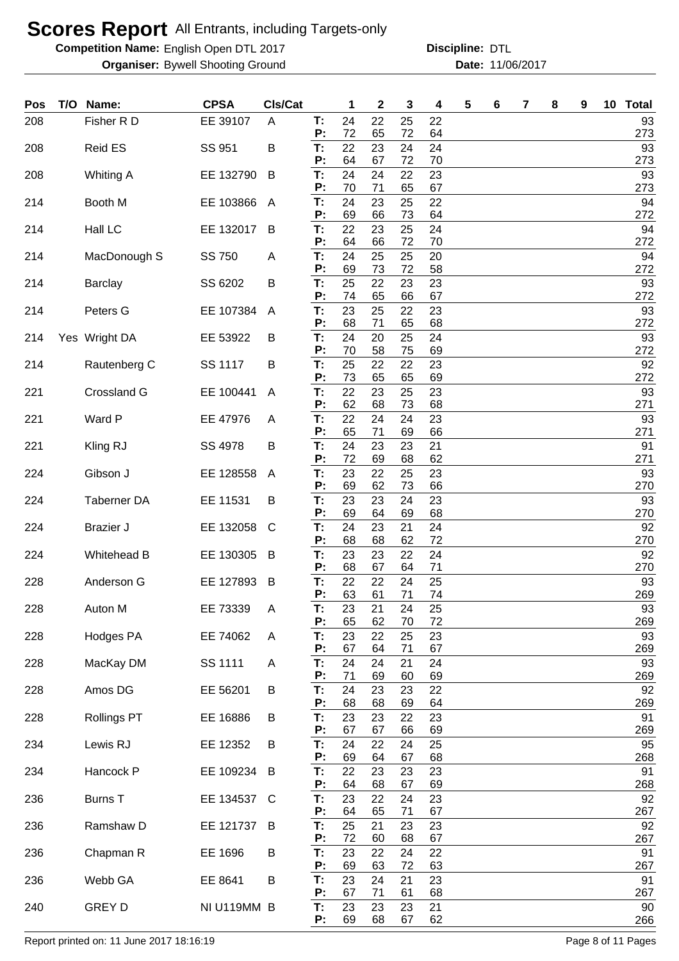**Competition Name:** English Open DTL 2017 **Discripline: DTL** 

**Organiser:** Bywell Shooting Ground **11/06/2017 Date:** 11/06/2017 **Discipline:**

| Pos | T/O | Name:              | <b>CPSA</b> | Cls/Cat |          | 1        | $\mathbf{2}$ | 3        | 4        | 5 | 6 | 7 | 8 | 9 | 10 | <b>Total</b> |
|-----|-----|--------------------|-------------|---------|----------|----------|--------------|----------|----------|---|---|---|---|---|----|--------------|
| 208 |     | Fisher R D         | EE 39107    | A       | T:<br>P: | 24<br>72 | 22<br>65     | 25<br>72 | 22<br>64 |   |   |   |   |   |    | 93<br>273    |
| 208 |     | Reid ES            | SS 951      | B       | T:       | 22       | 23           | 24       | 24       |   |   |   |   |   |    | 93           |
|     |     |                    | EE 132790   | B       | P:<br>T: | 64<br>24 | 67<br>24     | 72<br>22 | 70<br>23 |   |   |   |   |   |    | 273<br>93    |
| 208 |     | Whiting A          |             |         | P:       | 70       | 71           | 65       | 67       |   |   |   |   |   |    | 273          |
| 214 |     | Booth M            | EE 103866   | A       | T:<br>P: | 24<br>69 | 23<br>66     | 25<br>73 | 22<br>64 |   |   |   |   |   |    | 94<br>272    |
| 214 |     | Hall LC            | EE 132017   | B       | T:<br>P: | 22<br>64 | 23<br>66     | 25<br>72 | 24<br>70 |   |   |   |   |   |    | 94<br>272    |
| 214 |     | MacDonough S       | SS 750      | A       | T:<br>P: | 24<br>69 | 25<br>73     | 25<br>72 | 20<br>58 |   |   |   |   |   |    | 94<br>272    |
| 214 |     | <b>Barclay</b>     | SS 6202     | B       | T:<br>P: | 25<br>74 | 22<br>65     | 23<br>66 | 23<br>67 |   |   |   |   |   |    | 93<br>272    |
| 214 |     | Peters G           | EE 107384   | A       | T:<br>Ρ: | 23<br>68 | 25<br>71     | 22<br>65 | 23<br>68 |   |   |   |   |   |    | 93<br>272    |
| 214 |     | Yes Wright DA      | EE 53922    | B       | T:<br>Ρ: | 24<br>70 | 20<br>58     | 25<br>75 | 24<br>69 |   |   |   |   |   |    | 93<br>272    |
| 214 |     | Rautenberg C       | SS 1117     | B       | T:<br>P: | 25<br>73 | 22<br>65     | 22<br>65 | 23<br>69 |   |   |   |   |   |    | 92<br>272    |
| 221 |     | Crossland G        | EE 100441   | A       | T:<br>P: | 22<br>62 | 23<br>68     | 25<br>73 | 23<br>68 |   |   |   |   |   |    | 93<br>271    |
| 221 |     | Ward P             | EE 47976    | A       | T:<br>P: | 22<br>65 | 24<br>71     | 24<br>69 | 23<br>66 |   |   |   |   |   |    | 93<br>271    |
| 221 |     | Kling RJ           | SS 4978     | B       | T:<br>P: | 24<br>72 | 23<br>69     | 23<br>68 | 21<br>62 |   |   |   |   |   |    | 91<br>271    |
| 224 |     | Gibson J           | EE 128558   | A       | T:<br>P: | 23<br>69 | 22<br>62     | 25<br>73 | 23<br>66 |   |   |   |   |   |    | 93<br>270    |
| 224 |     | <b>Taberner DA</b> | EE 11531    | B       | T:<br>P: | 23<br>69 | 23<br>64     | 24<br>69 | 23<br>68 |   |   |   |   |   |    | 93<br>270    |
| 224 |     | <b>Brazier J</b>   | EE 132058   | C       | T:<br>P: | 24<br>68 | 23<br>68     | 21<br>62 | 24<br>72 |   |   |   |   |   |    | 92<br>270    |
| 224 |     | <b>Whitehead B</b> | EE 130305   | B       | T:<br>P: | 23<br>68 | 23<br>67     | 22<br>64 | 24<br>71 |   |   |   |   |   |    | 92<br>270    |
| 228 |     | Anderson G         | EE 127893   | B       | T:<br>P: | 22<br>63 | 22<br>61     | 24<br>71 | 25<br>74 |   |   |   |   |   |    | 93<br>269    |
| 228 |     | Auton M            | EE 73339    | A       | Т:<br>P: | 23<br>65 | 21<br>62     | 24<br>70 | 25<br>72 |   |   |   |   |   |    | 93<br>269    |
| 228 |     | Hodges PA          | EE 74062    | A       | T:<br>P: | 23<br>67 | 22<br>64     | 25<br>71 | 23<br>67 |   |   |   |   |   |    | 93<br>269    |
| 228 |     | MacKay DM          | SS 1111     | A       | T:<br>P: | 24<br>71 | 24<br>69     | 21<br>60 | 24<br>69 |   |   |   |   |   |    | 93<br>269    |
| 228 |     | Amos DG            | EE 56201    | B       | T:<br>P: | 24<br>68 | 23<br>68     | 23<br>69 | 22<br>64 |   |   |   |   |   |    | 92<br>269    |
| 228 |     | <b>Rollings PT</b> | EE 16886    | B       | T:<br>P: | 23<br>67 | 23<br>67     | 22<br>66 | 23<br>69 |   |   |   |   |   |    | 91<br>269    |
| 234 |     | Lewis RJ           | EE 12352    | B       | T:<br>P: | 24<br>69 | 22<br>64     | 24<br>67 | 25<br>68 |   |   |   |   |   |    | 95<br>268    |
| 234 |     | Hancock P          | EE 109234   | B       | T:<br>P: | 22<br>64 | 23<br>68     | 23<br>67 | 23<br>69 |   |   |   |   |   |    | 91<br>268    |
| 236 |     | <b>Burns T</b>     | EE 134537   | C       | T:<br>Ρ: | 23<br>64 | 22<br>65     | 24<br>71 | 23<br>67 |   |   |   |   |   |    | 92<br>267    |
| 236 |     | Ramshaw D          | EE 121737   | B       | T:<br>P: | 25<br>72 | 21<br>60     | 23<br>68 | 23<br>67 |   |   |   |   |   |    | 92<br>267    |
| 236 |     | Chapman R          | EE 1696     | B       | T:<br>P: | 23<br>69 | 22<br>63     | 24<br>72 | 22<br>63 |   |   |   |   |   |    | 91<br>267    |
| 236 |     | Webb GA            | EE 8641     | B       | T:<br>P: | 23<br>67 | 24<br>71     | 21<br>61 | 23<br>68 |   |   |   |   |   |    | 91<br>267    |
| 240 |     | <b>GREY D</b>      | NI U119MM B |         | T:       | 23       | 23           | 23       | 21       |   |   |   |   |   |    | 90           |
|     |     |                    |             |         | P:       | 69       | 68           | 67       | 62       |   |   |   |   |   |    | 266          |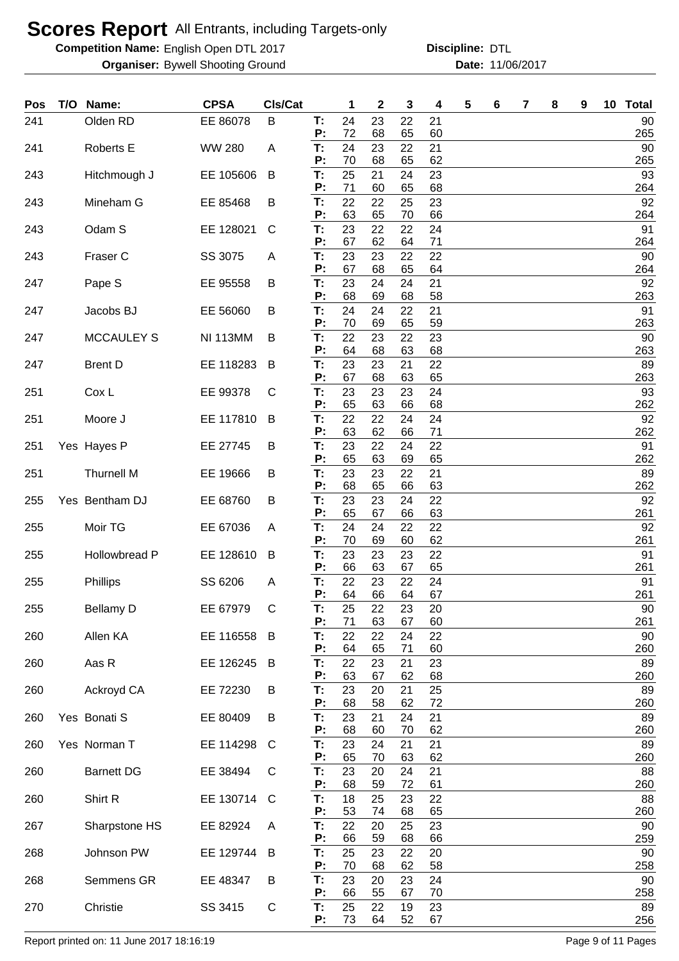**Competition Name:** English Open DTL 2017 **Discripline: DTL** 

**Organiser:** Bywell Shooting Ground **11/06/2017 Date:** 11/06/2017

**Discipline:**

| Pos | T/O | Name:                | <b>CPSA</b>     | Cls/Cat |          | 1        | 2        | 3        | 4        | 5 | 6 | 7 | 8 | 9 | 10 | <b>Total</b>  |
|-----|-----|----------------------|-----------------|---------|----------|----------|----------|----------|----------|---|---|---|---|---|----|---------------|
| 241 |     | Olden RD             | EE 86078        | B       | T:<br>P: | 24<br>72 | 23<br>68 | 22<br>65 | 21<br>60 |   |   |   |   |   |    | 90<br>265     |
| 241 |     | <b>Roberts E</b>     | <b>WW 280</b>   | A       | T:       | 24       | 23       | 22       | 21       |   |   |   |   |   |    | 90            |
| 243 |     | Hitchmough J         | EE 105606       | B       | P:<br>T: | 70<br>25 | 68<br>21 | 65<br>24 | 62<br>23 |   |   |   |   |   |    | 265<br>93     |
| 243 |     | Mineham G            | EE 85468        | B       | P:<br>T: | 71<br>22 | 60<br>22 | 65<br>25 | 68<br>23 |   |   |   |   |   |    | 264<br>92     |
|     |     |                      |                 |         | P:       | 63       | 65       | 70       | 66       |   |   |   |   |   |    | 264           |
| 243 |     | Odam S               | EE 128021       | C       | T:<br>P: | 23<br>67 | 22<br>62 | 22<br>64 | 24<br>71 |   |   |   |   |   |    | 91<br>264     |
| 243 |     | Fraser C             | SS 3075         | A       | T:<br>P: | 23<br>67 | 23<br>68 | 22<br>65 | 22<br>64 |   |   |   |   |   |    | 90<br>264     |
| 247 |     | Pape S               | EE 95558        | B       | T:       | 23       | 24       | 24       | 21       |   |   |   |   |   |    | 92            |
| 247 |     | Jacobs BJ            | EE 56060        | В       | P:<br>T: | 68<br>24 | 69<br>24 | 68<br>22 | 58<br>21 |   |   |   |   |   |    | 263<br>91     |
| 247 |     | <b>MCCAULEY S</b>    | <b>NI 113MM</b> | B       | P:<br>T. | 70<br>22 | 69<br>23 | 65<br>22 | 59<br>23 |   |   |   |   |   |    | 263<br>90     |
|     |     |                      |                 |         | P:       | 64       | 68       | 63       | 68       |   |   |   |   |   |    | 263           |
| 247 |     | <b>Brent D</b>       | EE 118283       | B       | T:<br>P: | 23<br>67 | 23       | 21       | 22       |   |   |   |   |   |    | 89            |
| 251 |     | Cox L                | EE 99378        | C       | T:       | 23       | 68<br>23 | 63<br>23 | 65<br>24 |   |   |   |   |   |    | 263<br>93     |
|     |     |                      |                 |         | P:       | 65       | 63       | 66       | 68       |   |   |   |   |   |    | 262           |
| 251 |     | Moore J              | EE 117810       | B       | T:<br>P: | 22<br>63 | 22<br>62 | 24<br>66 | 24<br>71 |   |   |   |   |   |    | 92<br>262     |
| 251 |     | Yes Hayes P          | EE 27745        | В       | T:       | 23       | 22       | 24       | 22       |   |   |   |   |   |    | 91            |
| 251 |     | <b>Thurnell M</b>    | EE 19666        | В       | P:<br>T: | 65<br>23 | 63<br>23 | 69<br>22 | 65<br>21 |   |   |   |   |   |    | 262<br>89     |
|     |     |                      |                 |         | P:       | 68       | 65       | 66       | 63       |   |   |   |   |   |    | 262           |
| 255 |     | Yes Bentham DJ       | EE 68760        | B       | T:<br>P: | 23<br>65 | 23<br>67 | 24<br>66 | 22<br>63 |   |   |   |   |   |    | 92<br>261     |
| 255 |     | Moir TG              | EE 67036        | A       | T.       | 24       | 24       | 22       | 22       |   |   |   |   |   |    | 92            |
| 255 |     | <b>Hollowbread P</b> | EE 128610       | B       | P:<br>T: | 70<br>23 | 69<br>23 | 60<br>23 | 62<br>22 |   |   |   |   |   |    | 261<br>91     |
|     |     |                      |                 |         | P:       | 66       | 63       | 67       | 65       |   |   |   |   |   |    | 261           |
| 255 |     | Phillips             | SS 6206         | A       | Т:<br>P: | 22<br>64 | 23<br>66 | 22<br>64 | 24<br>67 |   |   |   |   |   |    | 91<br>261     |
| 255 |     | <b>Bellamy D</b>     | EE 67979        | C       | T:<br>P: | 25<br>71 | 22<br>63 | 23<br>67 | 20<br>60 |   |   |   |   |   |    | $90\,$<br>261 |
| 260 |     | Allen KA             | EE 116558       | B       | T:       | 22       | 22       | 24       | 22       |   |   |   |   |   |    | 90            |
| 260 |     | Aas R                | EE 126245       | B       | P:<br>T: | 64<br>22 | 65<br>23 | 71<br>21 | 60<br>23 |   |   |   |   |   |    | 260<br>89     |
|     |     |                      |                 |         | P:       | 63       | 67       | 62       | 68       |   |   |   |   |   |    | 260           |
| 260 |     | Ackroyd CA           | EE 72230        | B       | T:<br>P: | 23<br>68 | 20<br>58 | 21<br>62 | 25<br>72 |   |   |   |   |   |    | 89<br>260     |
| 260 |     | Yes Bonati S         | EE 80409        | B       | T:<br>P: | 23<br>68 | 21<br>60 | 24<br>70 | 21<br>62 |   |   |   |   |   |    | 89<br>260     |
| 260 |     | Yes Norman T         | EE 114298       | C       | T:       | 23       | 24       | 21       | 21       |   |   |   |   |   |    | 89            |
| 260 |     | <b>Barnett DG</b>    | EE 38494        | C       | P:<br>T: | 65<br>23 | 70<br>20 | 63<br>24 | 62<br>21 |   |   |   |   |   |    | 260<br>88     |
|     |     |                      |                 |         | P:       | 68       | 59       | 72       | 61       |   |   |   |   |   |    | 260           |
| 260 |     | Shirt R              | EE 130714       | C       | T:<br>P: | 18<br>53 | 25<br>74 | 23<br>68 | 22<br>65 |   |   |   |   |   |    | 88<br>260     |
| 267 |     | Sharpstone HS        | EE 82924        | A       | T:<br>P: | 22<br>66 | 20<br>59 | 25<br>68 | 23<br>66 |   |   |   |   |   |    | 90<br>259     |
| 268 |     | Johnson PW           | EE 129744       | B       | T:       | 25       | 23       | 22       | 20       |   |   |   |   |   |    | 90            |
| 268 |     | Semmens GR           | EE 48347        | В       | P:<br>T: | 70<br>23 | 68<br>20 | 62<br>23 | 58<br>24 |   |   |   |   |   |    | 258<br>90     |
| 270 |     | Christie             | SS 3415         |         | P:<br>T: | 66<br>25 | 55<br>22 | 67<br>19 | 70<br>23 |   |   |   |   |   |    | 258<br>89     |
|     |     |                      |                 | C       | P:       | 73       | 64       | 52       | 67       |   |   |   |   |   |    | 256           |

Report printed on: 11 June 2017 18:16:19 **Page 1 and 2017 18:16:19** Page 9 of 11 Pages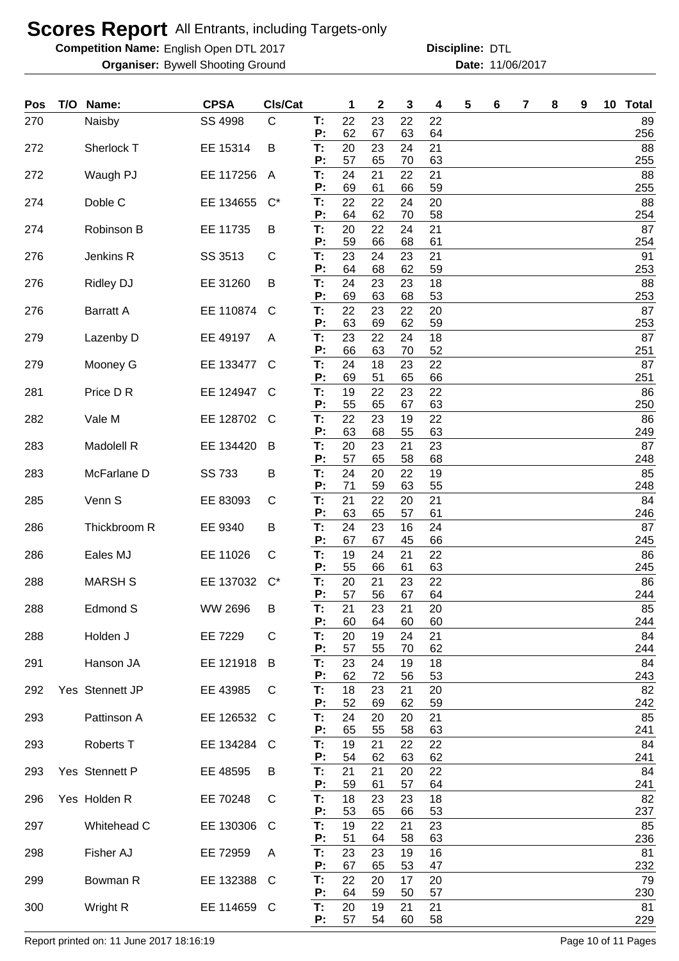**Competition Name:** English Open DTL 2017 **Discripline: DTL** 

**Organiser:** Bywell Shooting Ground **11/06/2017 Date:** 11/06/2017 **Discipline:**

| Pos | T/O | Name:             | <b>CPSA</b> | CIs/Cat      |          | 1        | 2        | 3        | 4        | 5 | 6 | 7 | 8 | 9 | 10 | <b>Total</b> |
|-----|-----|-------------------|-------------|--------------|----------|----------|----------|----------|----------|---|---|---|---|---|----|--------------|
| 270 |     | Naisby            | SS 4998     | $\mathsf C$  | T:<br>Ρ: | 22<br>62 | 23<br>67 | 22<br>63 | 22<br>64 |   |   |   |   |   |    | 89<br>256    |
| 272 |     | Sherlock T        | EE 15314    | B            | T:<br>P: | 20<br>57 | 23<br>65 | 24<br>70 | 21<br>63 |   |   |   |   |   |    | 88<br>255    |
| 272 |     | Waugh PJ          | EE 117256   | A            | T.       | 24       | 21       | 22       | 21       |   |   |   |   |   |    | 88           |
| 274 |     | Doble C           | EE 134655   | $C^*$        | Ρ:<br>T: | 69<br>22 | 61<br>22 | 66<br>24 | 59<br>20 |   |   |   |   |   |    | 255<br>88    |
| 274 |     | Robinson B        | EE 11735    | B            | P:<br>T: | 64<br>20 | 62<br>22 | 70<br>24 | 58<br>21 |   |   |   |   |   |    | 254<br>87    |
| 276 |     | Jenkins R         | SS 3513     | C            | P:<br>T: | 59<br>23 | 66<br>24 | 68<br>23 | 61<br>21 |   |   |   |   |   |    | 254<br>91    |
| 276 |     | <b>Ridley DJ</b>  | EE 31260    | B            | P:<br>T: | 64<br>24 | 68<br>23 | 62<br>23 | 59<br>18 |   |   |   |   |   |    | 253<br>88    |
| 276 |     | <b>Barratt A</b>  | EE 110874   | C            | P:<br>T: | 69<br>22 | 63<br>23 | 68<br>22 | 53<br>20 |   |   |   |   |   |    | 253<br>87    |
|     |     |                   |             |              | Р:       | 63       | 69       | 62       | 59       |   |   |   |   |   |    | 253          |
| 279 |     | Lazenby D         | EE 49197    | A            | T:<br>Р: | 23<br>66 | 22<br>63 | 24<br>70 | 18<br>52 |   |   |   |   |   |    | 87<br>251    |
| 279 |     | Mooney G          | EE 133477   | C            | T:<br>P: | 24<br>69 | 18<br>51 | 23<br>65 | 22<br>66 |   |   |   |   |   |    | 87<br>251    |
| 281 |     | Price D R         | EE 124947   | C            | T.       | 19       | 22       | 23       | 22       |   |   |   |   |   |    | 86           |
| 282 |     | Vale M            | EE 128702   | C            | P:<br>T. | 55<br>22 | 65<br>23 | 67<br>19 | 63<br>22 |   |   |   |   |   |    | 250<br>86    |
|     |     |                   |             |              | Ρ:       | 63       | 68       | 55       | 63       |   |   |   |   |   |    | 249          |
| 283 |     | Madolell R        | EE 134420   | B            | T.<br>P: | 20<br>57 | 23<br>65 | 21<br>58 | 23<br>68 |   |   |   |   |   |    | 87<br>248    |
| 283 |     | McFarlane D       | SS 733      | B            | T:       | 24       | 20       | 22       | 19       |   |   |   |   |   |    | 85           |
| 285 |     | Venn <sub>S</sub> | EE 83093    | C            | P:<br>T: | 71<br>21 | 59<br>22 | 63<br>20 | 55<br>21 |   |   |   |   |   |    | 248<br>84    |
| 286 |     | Thickbroom R      | EE 9340     | B            | P:<br>T. | 63<br>24 | 65<br>23 | 57<br>16 | 61<br>24 |   |   |   |   |   |    | 246<br>87    |
|     |     |                   |             |              | Ρ:       | 67       | 67       | 45       | 66       |   |   |   |   |   |    | 245          |
| 286 |     | Eales MJ          | EE 11026    | C            | T.<br>P: | 19<br>55 | 24<br>66 | 21<br>61 | 22<br>63 |   |   |   |   |   |    | 86<br>245    |
| 288 |     | <b>MARSH S</b>    | EE 137032   | $C^*$        | T:<br>P: | 20<br>57 | 21<br>56 | 23<br>67 | 22<br>64 |   |   |   |   |   |    | 86<br>244    |
| 288 |     | Edmond S          | WW 2696     | Β            | T:       | 21       | 23       | 21       | 20       |   |   |   |   |   |    | 85           |
| 288 |     | Holden J          | EE 7229     | $\mathsf{C}$ | P:<br>Т: | 60<br>20 | 64<br>19 | 60<br>24 | 60<br>21 |   |   |   |   |   |    | 244<br>84    |
| 291 |     | Hanson JA         | EE 121918   | B            | P:<br>Т. | 57<br>23 | 55<br>24 | 70<br>19 | 62<br>18 |   |   |   |   |   |    | 244<br>84    |
|     |     |                   |             |              | P:       | 62       | 72       | 56       | 53       |   |   |   |   |   |    | 243          |
| 292 |     | Yes Stennett JP   | EE 43985    | C            | T:<br>P: | 18<br>52 | 23<br>69 | 21<br>62 | 20<br>59 |   |   |   |   |   |    | 82<br>242    |
| 293 |     | Pattinson A       | EE 126532   | C            | T:       | 24       | 20       | 20       | 21       |   |   |   |   |   |    | 85           |
| 293 |     | Roberts T         | EE 134284   | C            | P:<br>Т: | 65<br>19 | 55<br>21 | 58<br>22 | 63<br>22 |   |   |   |   |   |    | 241<br>84    |
|     |     |                   |             |              | P:       | 54       | 62       | 63       | 62       |   |   |   |   |   |    | 241          |
| 293 |     | Yes Stennett P    | EE 48595    | B            | T:<br>P: | 21<br>59 | 21<br>61 | 20<br>57 | 22<br>64 |   |   |   |   |   |    | 84<br>241    |
| 296 |     | Yes Holden R      | EE 70248    | C            | T:<br>P: | 18<br>53 | 23<br>65 | 23<br>66 | 18<br>53 |   |   |   |   |   |    | 82<br>237    |
| 297 |     | Whitehead C       | EE 130306   | C            | T.       | 19       | 22       | 21       | 23       |   |   |   |   |   |    | 85           |
| 298 |     | Fisher AJ         | EE 72959    | A            | P:<br>T. | 51<br>23 | 64<br>23 | 58<br>19 | 63<br>16 |   |   |   |   |   |    | 236<br>81    |
| 299 |     | Bowman R          | EE 132388   | C            | P:<br>T. | 67<br>22 | 65<br>20 | 53<br>17 | 47<br>20 |   |   |   |   |   |    | 232<br>79    |
|     |     |                   |             |              | P:       | 64       | 59       | 50       | 57       |   |   |   |   |   |    | 230          |
| 300 |     | Wright R          | EE 114659   | C            | T.<br>P: | 20<br>57 | 19<br>54 | 21<br>60 | 21<br>58 |   |   |   |   |   |    | 81<br>229    |

Report printed on: 11 June 2017 18:16:19 **Page 10 of 11 Pages**